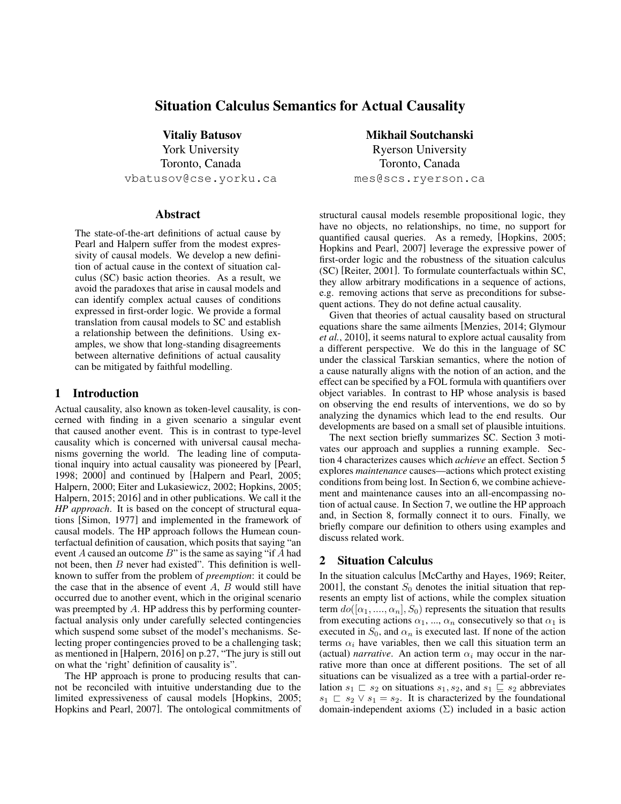# Situation Calculus Semantics for Actual Causality

Vitaliy Batusov York University Toronto, Canada vbatusov@cse.yorku.ca

# Abstract

The state-of-the-art definitions of actual cause by Pearl and Halpern suffer from the modest expressivity of causal models. We develop a new definition of actual cause in the context of situation calculus (SC) basic action theories. As a result, we avoid the paradoxes that arise in causal models and can identify complex actual causes of conditions expressed in first-order logic. We provide a formal translation from causal models to SC and establish a relationship between the definitions. Using examples, we show that long-standing disagreements between alternative definitions of actual causality can be mitigated by faithful modelling.

#### 1 Introduction

Actual causality, also known as token-level causality, is concerned with finding in a given scenario a singular event that caused another event. This is in contrast to type-level causality which is concerned with universal causal mechanisms governing the world. The leading line of computational inquiry into actual causality was pioneered by [Pearl, 1998; 2000] and continued by [Halpern and Pearl, 2005; Halpern, 2000; Eiter and Lukasiewicz, 2002; Hopkins, 2005; Halpern, 2015; 2016] and in other publications. We call it the *HP approach*. It is based on the concept of structural equations [Simon, 1977] and implemented in the framework of causal models. The HP approach follows the Humean counterfactual definition of causation, which posits that saying "an event A caused an outcome  $B$ " is the same as saying "if A had not been, then  $B$  never had existed". This definition is wellknown to suffer from the problem of *preemption*: it could be the case that in the absence of event  $A$ ,  $B$  would still have occurred due to another event, which in the original scenario was preempted by A. HP address this by performing counterfactual analysis only under carefully selected contingencies which suspend some subset of the model's mechanisms. Selecting proper contingencies proved to be a challenging task; as mentioned in [Halpern, 2016] on p.27, "The jury is still out on what the 'right' definition of causality is".

The HP approach is prone to producing results that cannot be reconciled with intuitive understanding due to the limited expressiveness of causal models [Hopkins, 2005; Hopkins and Pearl, 2007]. The ontological commitments of

Mikhail Soutchanski Ryerson University Toronto, Canada mes@scs.ryerson.ca

structural causal models resemble propositional logic, they have no objects, no relationships, no time, no support for quantified causal queries. As a remedy, [Hopkins, 2005; Hopkins and Pearl, 2007] leverage the expressive power of first-order logic and the robustness of the situation calculus (SC) [Reiter, 2001]. To formulate counterfactuals within SC, they allow arbitrary modifications in a sequence of actions, e.g. removing actions that serve as preconditions for subsequent actions. They do not define actual causality.

Given that theories of actual causality based on structural equations share the same ailments [Menzies, 2014; Glymour *et al.*, 2010], it seems natural to explore actual causality from a different perspective. We do this in the language of SC under the classical Tarskian semantics, where the notion of a cause naturally aligns with the notion of an action, and the effect can be specified by a FOL formula with quantifiers over object variables. In contrast to HP whose analysis is based on observing the end results of interventions, we do so by analyzing the dynamics which lead to the end results. Our developments are based on a small set of plausible intuitions.

The next section briefly summarizes SC. Section 3 motivates our approach and supplies a running example. Section 4 characterizes causes which *achieve* an effect. Section 5 explores *maintenance* causes—actions which protect existing conditions from being lost. In Section 6, we combine achievement and maintenance causes into an all-encompassing notion of actual cause. In Section 7, we outline the HP approach and, in Section 8, formally connect it to ours. Finally, we briefly compare our definition to others using examples and discuss related work.

# 2 Situation Calculus

In the situation calculus [McCarthy and Hayes, 1969; Reiter, 2001], the constant  $S_0$  denotes the initial situation that represents an empty list of actions, while the complex situation term  $do([\alpha_1, ..., \alpha_n], S_0)$  represents the situation that results from executing actions  $\alpha_1$ , ...,  $\alpha_n$  consecutively so that  $\alpha_1$  is executed in  $S_0$ , and  $\alpha_n$  is executed last. If none of the action terms  $\alpha_i$  have variables, then we call this situation term an (actual) *narrative*. An action term  $\alpha_i$  may occur in the narrative more than once at different positions. The set of all situations can be visualized as a tree with a partial-order relation  $s_1 \rvert s_2$  on situations  $s_1, s_2$ , and  $s_1 \rvert s_2$  abbreviates  $s_1 \n\sqsubset s_2 \vee s_1 = s_2$ . It is characterized by the foundational domain-independent axioms  $(\Sigma)$  included in a basic action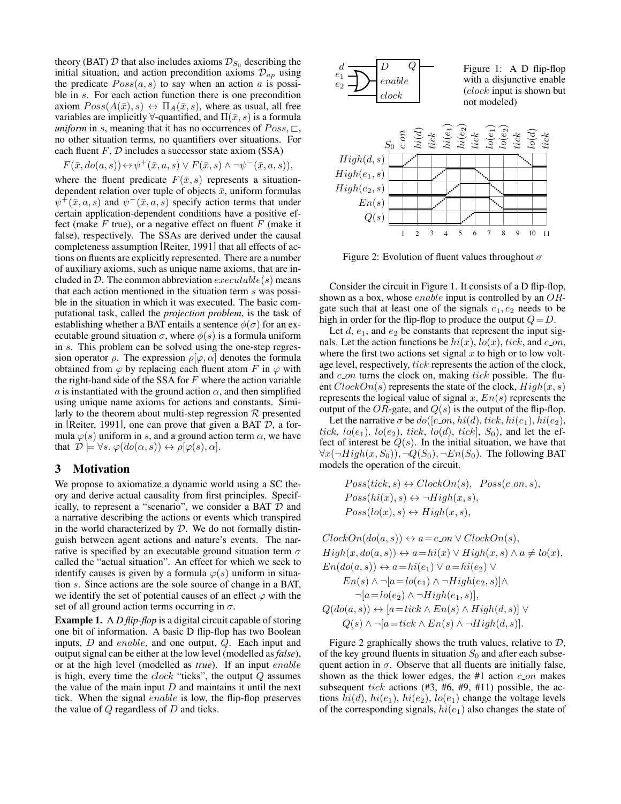theory (BAT)  $D$  that also includes axioms  $\mathcal{D}_{S_0}$  describing the initial situation, and action precondition axioms  $\mathcal{D}_{ap}$  using the predicate  $Poss(a, s)$  to say when an action a is possible in s. For each action function there is one precondition axiom  $Poss(A(\bar{x}), s) \leftrightarrow \Pi_A(\bar{x}, s)$ , where as usual, all free variables are implicitly  $\forall$ -quantified, and  $\Pi(\bar{x}, s)$  is a formula *uniform* in s, meaning that it has no occurrences of  $Poss, \square$ , no other situation terms, no quantifiers over situations. For each fluent  $F$ ,  $D$  includes a successor state axiom (SSA)

$$
F(\bar{x}, do(a, s)) \leftrightarrow \psi^+(\bar{x}, a, s) \lor F(\bar{x}, s) \land \neg \psi^-(\bar{x}, a, s)),
$$

where the fluent predicate  $F(\bar{x}, s)$  represents a situationdependent relation over tuple of objects  $\bar{x}$ , uniform formulas  $\psi^{\dagger}(\bar{x}, a, s)$  and  $\psi^{\dagger}(\bar{x}, a, s)$  specify action terms that under certain application-dependent conditions have a positive effect (make  $F$  true), or a negative effect on fluent  $F$  (make it false), respectively. The SSAs are derived under the causal completeness assumption [Reiter, 1991] that all effects of actions on fluents are explicitly represented. There are a number of auxiliary axioms, such as unique name axioms, that are included in D. The common abbreviation  $execute(s)$  means that each action mentioned in the situation term s was possible in the situation in which it was executed. The basic computational task, called the *projection problem*, is the task of establishing whether a BAT entails a sentence  $\phi(\sigma)$  for an executable ground situation  $\sigma$ , where  $\phi(s)$  is a formula uniform in s. This problem can be solved using the one-step regression operator  $\rho$ . The expression  $\rho[\varphi, \alpha]$  denotes the formula obtained from  $\varphi$  by replacing each fluent atom F in  $\varphi$  with the right-hand side of the SSA for  $F$  where the action variable a is instantiated with the ground action  $\alpha$ , and then simplified using unique name axioms for actions and constants. Similarly to the theorem about multi-step regression  $R$  presented in [Reiter, 1991], one can prove that given a BAT  $D$ , a formula  $\varphi(s)$  uniform in s, and a ground action term  $\alpha$ , we have that  $\mathcal{D} \models \forall s. \varphi(do(\alpha, s)) \leftrightarrow \rho[\varphi(s), \alpha].$ 

## 3 Motivation

We propose to axiomatize a dynamic world using a SC theory and derive actual causality from first principles. Specifically, to represent a "scenario", we consider a BAT  $D$  and a narrative describing the actions or events which transpired in the world characterized by  $D$ . We do not formally distinguish between agent actions and nature's events. The narrative is specified by an executable ground situation term  $\sigma$ called the "actual situation". An effect for which we seek to identify causes is given by a formula  $\varphi(s)$  uniform in situation s. Since actions are the sole source of change in a BAT, we identify the set of potential causes of an effect  $\varphi$  with the set of all ground action terms occurring in  $\sigma$ .

Example 1. A *D flip-flop* is a digital circuit capable of storing one bit of information. A basic D flip-flop has two Boolean inputs, D and enable, and one output, Q. Each input and output signal can be either at the low level (modelled as *false*), or at the high level (modelled as *true*). If an input enable is high, every time the  $clock$  "ticks", the output  $Q$  assumes the value of the main input  $D$  and maintains it until the next tick. When the signal enable is low, the flip-flop preserves the value of  $Q$  regardless of  $D$  and ticks.



Figure 2: Evolution of fluent values throughout  $\sigma$ 

Consider the circuit in Figure 1. It consists of a D flip-flop, shown as a box, whose *enable* input is controlled by an  $OR$ gate such that at least one of the signals  $e_1, e_2$  needs to be high in order for the flip-flop to produce the output  $Q = D$ .

Let  $d$ ,  $e_1$ , and  $e_2$  be constants that represent the input signals. Let the action functions be  $hi(x)$ ,  $lo(x)$ , tick, and c\_on, where the first two actions set signal  $x$  to high or to low voltage level, respectively, tick represents the action of the clock, and  $c_0$  turns the clock on, making tick possible. The fluent  $ClockOn(s)$  represents the state of the clock,  $High(x, s)$ represents the logical value of signal x,  $En(s)$  represents the output of the OR-gate, and  $Q(s)$  is the output of the flip-flop.

Let the narrative  $\sigma$  be  $do([c_0, hi(d), tick, hi(e_1), hi(e_2),$ tick,  $lo(e_1)$ ,  $lo(e_2)$ , tick,  $lo(d)$ , tick],  $S_0$ ), and let the effect of interest be  $Q(s)$ . In the initial situation, we have that  $\forall x(\neg High(x, S_0)), \neg Q(S_0), \neg En(S_0)$ . The following BAT models the operation of the circuit.

$$
Poss(tick, s) \leftrightarrow ClockOn(s), Poss(c_{.}s),
$$
  
\n
$$
Poss(hi(x), s) \leftrightarrow \neg High(x, s),
$$
  
\n
$$
Poss(lo(x), s) \leftrightarrow High(x, s),
$$

$$
ClockOn(do(a, s)) \leftrightarrow a = c\_{on} \lor ClockOn(s),
$$
  
\n
$$
High(x, do(a, s)) \leftrightarrow a = hi(x) \lor High(x, s) \land a \neq lo(x),
$$
  
\n
$$
En(do(a, s)) \leftrightarrow a = hi(e_1) \lor a = hi(e_2) \lor
$$
  
\n
$$
En(s) \land \neg[a = lo(e_1) \land \neg High(e_2, s)] \land
$$
  
\n
$$
\neg[a = lo(e_2) \land \neg High(e_1, s)],
$$
  
\n
$$
Q(do(a, s)) \leftrightarrow [a = tick \land En(s) \land High(d, s)] \lor
$$
  
\n
$$
Q(s) \land \neg[a = tick \land En(s) \land \neg High(d, s)].
$$

Figure 2 graphically shows the truth values, relative to  $D$ , of the key ground fluents in situation  $S_0$  and after each subsequent action in  $\sigma$ . Observe that all fluents are initially false, shown as the thick lower edges, the  $#1$  action  $c_0$  makes subsequent tick actions  $(#3, #6, #9, #11)$  possible, the actions  $hi(d)$ ,  $hi(e_1)$ ,  $hi(e_2)$ ,  $lo(e_1)$  change the voltage levels of the corresponding signals,  $hi(e_1)$  also changes the state of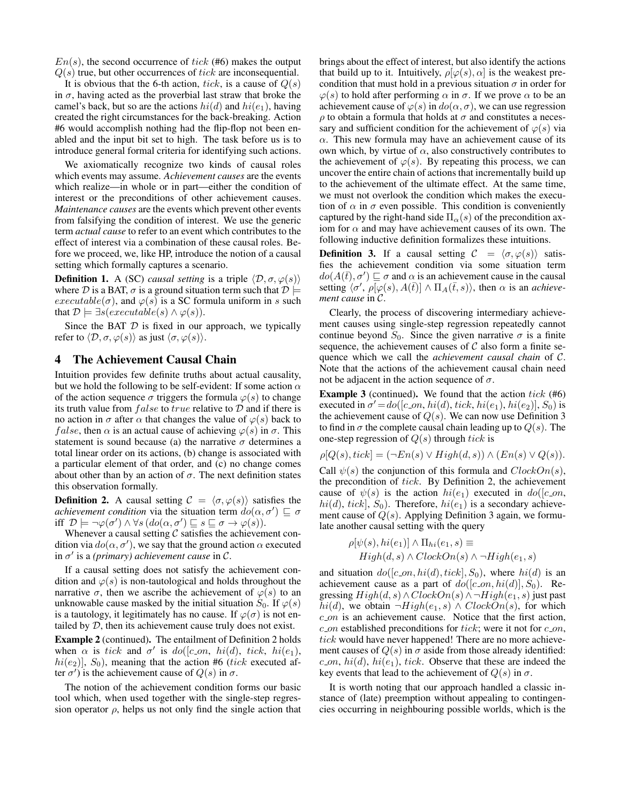$En(s)$ , the second occurrence of tick (#6) makes the output  $Q(s)$  true, but other occurrences of tick are inconsequential.

It is obvious that the 6-th action, tick, is a cause of  $Q(s)$ in  $\sigma$ , having acted as the proverbial last straw that broke the camel's back, but so are the actions  $hi(d)$  and  $hi(e_1)$ , having created the right circumstances for the back-breaking. Action #6 would accomplish nothing had the flip-flop not been enabled and the input bit set to high. The task before us is to introduce general formal criteria for identifying such actions.

We axiomatically recognize two kinds of causal roles which events may assume. *Achievement causes* are the events which realize—in whole or in part—either the condition of interest or the preconditions of other achievement causes. *Maintenance causes* are the events which prevent other events from falsifying the condition of interest. We use the generic term *actual cause* to refer to an event which contributes to the effect of interest via a combination of these causal roles. Before we proceed, we, like HP, introduce the notion of a causal setting which formally captures a scenario.

**Definition 1.** A (SC) *causal setting* is a triple  $\langle \mathcal{D}, \sigma, \varphi(s) \rangle$ where D is a BAT,  $\sigma$  is a ground situation term such that  $\mathcal{D} \models$  $execute(\sigma)$ , and  $\varphi(s)$  is a SC formula uniform in s such that  $\mathcal{D} \models \exists s (execute(s) \land \varphi(s)).$ 

Since the BAT  $D$  is fixed in our approach, we typically refer to  $\langle \mathcal{D}, \sigma, \varphi(s) \rangle$  as just  $\langle \sigma, \varphi(s) \rangle$ .

# 4 The Achievement Causal Chain

Intuition provides few definite truths about actual causality, but we hold the following to be self-evident: If some action  $\alpha$ of the action sequence  $\sigma$  triggers the formula  $\varphi(s)$  to change its truth value from  $false$  to  $true$  relative to  $D$  and if there is no action in  $\sigma$  after  $\alpha$  that changes the value of  $\varphi(s)$  back to *false*, then  $\alpha$  is an actual cause of achieving  $\varphi(s)$  in  $\sigma$ . This statement is sound because (a) the narrative  $\sigma$  determines a total linear order on its actions, (b) change is associated with a particular element of that order, and (c) no change comes about other than by an action of  $\sigma$ . The next definition states this observation formally.

**Definition 2.** A causal setting  $C = \langle \sigma, \varphi(s) \rangle$  satisfies the *achievement condition* via the situation term  $do(\alpha, \sigma') \sqsubseteq \sigma$ iff  $\mathcal{D} \models \neg \varphi(\sigma') \land \forall s (do(\alpha, \sigma') \sqsubseteq s \sqsubseteq \sigma \rightarrow \varphi(s)).$ 

Whenever a causal setting  $C$  satisfies the achievement condition via  $do(\alpha, \sigma')$ , we say that the ground action  $\alpha$  executed in σ 0 is a *(primary) achievement cause* in C.

If a causal setting does not satisfy the achievement condition and  $\varphi(s)$  is non-tautological and holds throughout the narrative  $\sigma$ , then we ascribe the achievement of  $\varphi(s)$  to an unknowable cause masked by the initial situation  $S_0$ . If  $\varphi(s)$ is a tautology, it legitimately has no cause. If  $\varphi(\sigma)$  is not entailed by D, then its achievement cause truly does not exist.

Example 2 (continued). The entailment of Definition 2 holds when  $\alpha$  is tick and  $\sigma'$  is do([c\_on, hi(d), tick, hi(e<sub>1</sub>),  $hi(e_2)$ ],  $S_0$ ), meaning that the action #6 (tick executed after  $\sigma'$ ) is the achievement cause of  $Q(s)$  in  $\sigma$ .

The notion of the achievement condition forms our basic tool which, when used together with the single-step regression operator  $\rho$ , helps us not only find the single action that brings about the effect of interest, but also identify the actions that build up to it. Intuitively,  $\rho[\varphi(s), \alpha]$  is the weakest precondition that must hold in a previous situation  $\sigma$  in order for  $\varphi(s)$  to hold after performing  $\alpha$  in  $\sigma$ . If we prove  $\alpha$  to be an achievement cause of  $\varphi(s)$  in  $do(\alpha, \sigma)$ , we can use regression  $\rho$  to obtain a formula that holds at  $\sigma$  and constitutes a necessary and sufficient condition for the achievement of  $\varphi(s)$  via  $\alpha$ . This new formula may have an achievement cause of its own which, by virtue of  $\alpha$ , also constructively contributes to the achievement of  $\varphi(s)$ . By repeating this process, we can uncover the entire chain of actions that incrementally build up to the achievement of the ultimate effect. At the same time, we must not overlook the condition which makes the execution of  $\alpha$  in  $\sigma$  even possible. This condition is conveniently captured by the right-hand side  $\Pi_{\alpha}(s)$  of the precondition axiom for  $\alpha$  and may have achievement causes of its own. The following inductive definition formalizes these intuitions.

**Definition 3.** If a causal setting  $C = \langle \sigma, \varphi(s) \rangle$  satisfies the achievement condition via some situation term  $do(A(\bar{t}), \sigma') \sqsubseteq \sigma$  and  $\alpha$  is an achievement cause in the causal setting  $\langle \sigma', \rho \overline{\varphi(s)}, A(\overline{t}) \rangle \wedge \Pi_A(\overline{t}, s) \rangle$ , then  $\alpha$  is an *achievement cause* in C.

Clearly, the process of discovering intermediary achievement causes using single-step regression repeatedly cannot continue beyond  $S_0$ . Since the given narrative  $\sigma$  is a finite sequence, the achievement causes of  $C$  also form a finite sequence which we call the *achievement causal chain* of C. Note that the actions of the achievement causal chain need not be adjacent in the action sequence of  $\sigma$ .

**Example 3** (continued). We found that the action tick  $(#6)$ executed in  $\sigma' = do([c_{.}on, hi(d), tick, hi(e_1), hi(e_2)], S_0)$  is the achievement cause of  $Q(s)$ . We can now use Definition 3 to find in  $\sigma$  the complete causal chain leading up to  $Q(s)$ . The one-step regression of  $Q(s)$  through tick is

$$
\rho[Q(s), tick] = (\neg En(s) \lor High(d, s)) \land (En(s) \lor Q(s)).
$$

Call  $\psi(s)$  the conjunction of this formula and  $ClockOn(s)$ , the precondition of tick. By Definition 2, the achievement cause of  $\psi(s)$  is the action  $hi(e_1)$  executed in  $do([c_0, a_1])$  $hi(d)$ ,  $tick$ ],  $S_0$ ). Therefore,  $hi(e_1)$  is a secondary achievement cause of  $Q(s)$ . Applying Definition 3 again, we formulate another causal setting with the query

$$
\rho[\psi(s), hi(e_1)] \wedge \Pi_{hi}(e_1, s) \equiv
$$
  
High(d, s)  $\wedge$  ClockOn(s)  $\wedge \neg High(e_1, s)$ 

and situation  $do([c_{.}on, hi(d), tick], S_0)$ , where  $hi(d)$  is an achievement cause as a part of  $do([c_0, hi(d)], S_0)$ . Regressing  $High(d, s) \wedge ClockOn(s) \wedge \neg High(e_1, s)$  just past hi(d), we obtain  $\neg High(e_1, s) \land ClockOn(s)$ , for which  $c$ -on is an achievement cause. Notice that the first action,  $c$  on established preconditions for tick; were it not for  $c$  on, tick would have never happened! There are no more achievement causes of  $Q(s)$  in  $\sigma$  aside from those already identified: c on,  $hi(d)$ ,  $hi(e_1)$ , tick. Observe that these are indeed the key events that lead to the achievement of  $Q(s)$  in  $\sigma$ .

It is worth noting that our approach handled a classic instance of (late) preemption without appealing to contingencies occurring in neighbouring possible worlds, which is the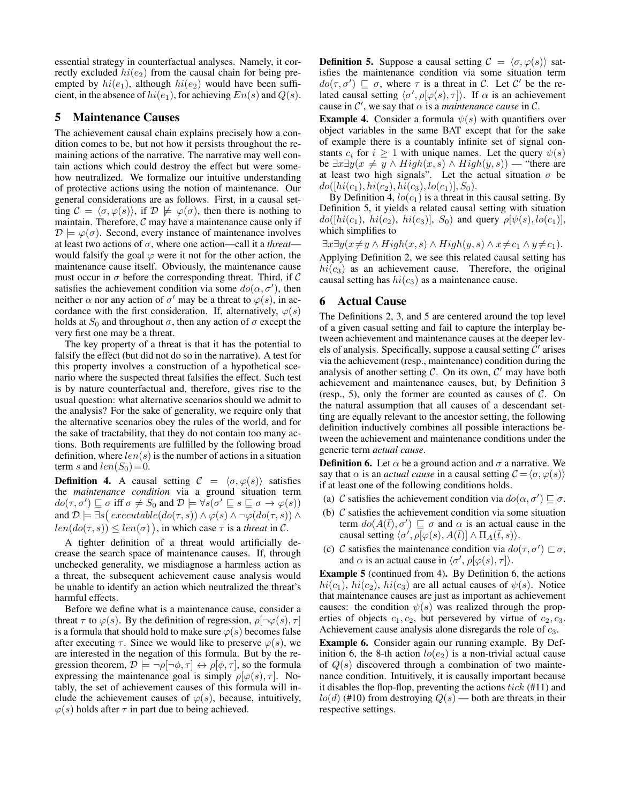essential strategy in counterfactual analyses. Namely, it correctly excluded  $hi(e_2)$  from the causal chain for being preempted by  $hi(e_1)$ , although  $hi(e_2)$  would have been sufficient, in the absence of  $hi(e_1)$ , for achieving  $En(s)$  and  $Q(s)$ .

### 5 Maintenance Causes

The achievement causal chain explains precisely how a condition comes to be, but not how it persists throughout the remaining actions of the narrative. The narrative may well contain actions which could destroy the effect but were somehow neutralized. We formalize our intuitive understanding of protective actions using the notion of maintenance. Our general considerations are as follows. First, in a causal setting  $\mathcal{C} = \langle \sigma, \varphi(s) \rangle$ , if  $\mathcal{D} \not\models \varphi(\sigma)$ , then there is nothing to maintain. Therefore,  $\mathcal C$  may have a maintenance cause only if  $\mathcal{D} \models \varphi(\sigma)$ . Second, every instance of maintenance involves at least two actions of  $\sigma$ , where one action—call it a *threat* would falsify the goal  $\varphi$  were it not for the other action, the maintenance cause itself. Obviously, the maintenance cause must occur in  $\sigma$  before the corresponding threat. Third, if C satisfies the achievement condition via some  $do(\alpha, \sigma')$ , then neither  $\alpha$  nor any action of  $\sigma'$  may be a threat to  $\varphi(s)$ , in accordance with the first consideration. If, alternatively,  $\varphi(s)$ holds at  $S_0$  and throughout  $\sigma$ , then any action of  $\sigma$  except the very first one may be a threat.

The key property of a threat is that it has the potential to falsify the effect (but did not do so in the narrative). A test for this property involves a construction of a hypothetical scenario where the suspected threat falsifies the effect. Such test is by nature counterfactual and, therefore, gives rise to the usual question: what alternative scenarios should we admit to the analysis? For the sake of generality, we require only that the alternative scenarios obey the rules of the world, and for the sake of tractability, that they do not contain too many actions. Both requirements are fulfilled by the following broad definition, where  $len(s)$  is the number of actions in a situation term s and  $len(S_0)=0$ .

**Definition 4.** A causal setting  $C = \langle \sigma, \varphi(s) \rangle$  satisfies the *maintenance condition* via a ground situation term  $do(\tau, \sigma') \sqsubseteq \sigma \text{ iff } \sigma \neq S_0 \text{ and } \mathcal{D} \models \forall s(\sigma' \sqsubseteq s \sqsubseteq \sigma \rightarrow \varphi(s))$ and  $\mathcal{D} \models \exists s ( \mathit{execute}(do(\tau, s)) \land \varphi(s) \land \neg \varphi(do(\tau, s)) \land$  $len(do(\tau, s)) \leq len(\sigma)$ , in which case  $\tau$  is a *threat* in C.

A tighter definition of a threat would artificially decrease the search space of maintenance causes. If, through unchecked generality, we misdiagnose a harmless action as a threat, the subsequent achievement cause analysis would be unable to identify an action which neutralized the threat's harmful effects.

Before we define what is a maintenance cause, consider a threat  $\tau$  to  $\varphi(s)$ . By the definition of regression,  $\rho[\neg \varphi(s), \tau]$ is a formula that should hold to make sure  $\varphi(s)$  becomes false after executing  $\tau$ . Since we would like to preserve  $\varphi(s)$ , we are interested in the negation of this formula. But by the regression theorem,  $\mathcal{D} \models \neg \rho[\neg \phi, \tau] \leftrightarrow \rho[\phi, \tau]$ , so the formula expressing the maintenance goal is simply  $\rho[\varphi(s), \tau]$ . Notably, the set of achievement causes of this formula will include the achievement causes of  $\varphi(s)$ , because, intuitively,  $\varphi(s)$  holds after  $\tau$  in part due to being achieved.

**Definition 5.** Suppose a causal setting  $C = \langle \sigma, \varphi(s) \rangle$  satisfies the maintenance condition via some situation term  $do(\tau, \sigma') \sqsubseteq \sigma$ , where  $\tau$  is a threat in C. Let C' be the related causal setting  $\langle \sigma', \rho[\varphi(s), \tau] \rangle$ . If  $\alpha$  is an achievement cause in  $\mathcal{C}'$ , we say that  $\alpha$  is a *maintenance cause* in  $\mathcal{C}$ .

**Example 4.** Consider a formula  $\psi(s)$  with quantifiers over object variables in the same BAT except that for the sake of example there is a countably infinite set of signal constants  $c_i$  for  $i \geq 1$  with unique names. Let the query  $\psi(s)$ be  $\exists x \exists y (x \neq y \land High(x, s) \land High(y, s))$  — "there are at least two high signals". Let the actual situation  $\sigma$  be  $do([hi(c_1), hi(c_2), hi(c_3), lo(c_1)], S_0).$ 

By Definition 4,  $l_0(c_1)$  is a threat in this causal setting. By Definition 5, it yields a related causal setting with situation  $do([hi(c_1), \, hi(c_2), \, hi(c_3)], S_0)$  and query  $\rho[\psi(s), lo(c_1)],$ which simplifies to

 $\exists x \exists y (x \neq y \land High(x, s) \land High(y, s) \land x \neq c_1 \land y \neq c_1).$ 

Applying Definition 2, we see this related causal setting has  $hi(c_3)$  as an achievement cause. Therefore, the original causal setting has  $hi(c_3)$  as a maintenance cause.

# 6 Actual Cause

The Definitions 2, 3, and 5 are centered around the top level of a given casual setting and fail to capture the interplay between achievement and maintenance causes at the deeper levels of analysis. Specifically, suppose a causal setting  $\tilde{C}'$  arises via the achievement (resp., maintenance) condition during the analysis of another setting  $C$ . On its own,  $C'$  may have both achievement and maintenance causes, but, by Definition 3 (resp., 5), only the former are counted as causes of  $C$ . On the natural assumption that all causes of a descendant setting are equally relevant to the ancestor setting, the following definition inductively combines all possible interactions between the achievement and maintenance conditions under the generic term *actual cause*.

**Definition 6.** Let  $\alpha$  be a ground action and  $\sigma$  a narrative. We say that  $\alpha$  is an *actual cause* in a causal setting  $\mathcal{C} = \langle \sigma, \varphi(s) \rangle$ if at least one of the following conditions holds.

- (a) C satisfies the achievement condition via  $do(\alpha, \sigma') \sqsubseteq \sigma$ .
- (b)  $\mathcal C$  satisfies the achievement condition via some situation term  $do(A(\bar{t}), \sigma') \sqsubseteq \sigma$  and  $\alpha$  is an actual cause in the causal setting  $\langle \sigma', \rho \overline{\psi}(\varphi(s), A(\overline{t})] \wedge \Pi_A(\overline{t}, s) \rangle$ .
- (c) C satisfies the maintenance condition via  $do(\tau, \sigma') \sqsubset \sigma$ , and  $\alpha$  is an actual cause in  $\langle \sigma', \rho[\varphi(s), \tau] \rangle$ .

Example 5 (continued from 4). By Definition 6, the actions  $hi(c_1)$ ,  $hi(c_2)$ ,  $hi(c_3)$  are all actual causes of  $\psi(s)$ . Notice that maintenance causes are just as important as achievement causes: the condition  $\psi(s)$  was realized through the properties of objects  $c_1, c_2$ , but persevered by virtue of  $c_2, c_3$ . Achievement cause analysis alone disregards the role of  $c_3$ .

Example 6. Consider again our running example. By Definition 6, the 8-th action  $l_0(e_2)$  is a non-trivial actual cause of  $Q(s)$  discovered through a combination of two maintenance condition. Intuitively, it is causally important because it disables the flop-flop, preventing the actions  $tick$  (#11) and  $l o(d)$  (#10) from destroying  $Q(s)$  — both are threats in their respective settings.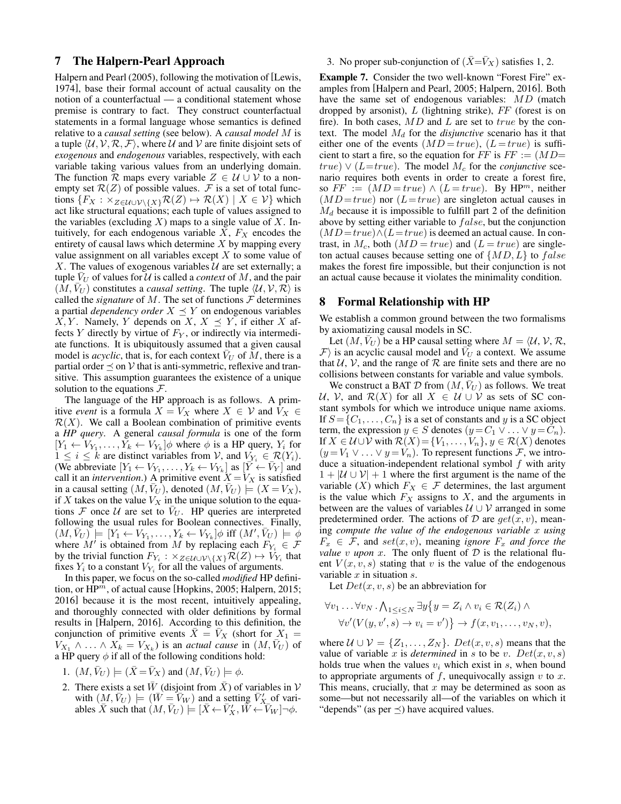# 7 The Halpern-Pearl Approach

Halpern and Pearl (2005), following the motivation of [Lewis, 1974], base their formal account of actual causality on the notion of a counterfactual — a conditional statement whose premise is contrary to fact. They construct counterfactual statements in a formal language whose semantics is defined relative to a *causal setting* (see below). A *causal model* M is a tuple  $\langle U, V, R, F \rangle$ , where U and V are finite disjoint sets of *exogenous* and *endogenous* variables, respectively, with each variable taking various values from an underlying domain. The function  $\overline{\mathcal{R}}$  maps every variable  $Z \in \mathcal{U} \cup \mathcal{V}$  to a nonempty set  $\mathcal{R}(Z)$  of possible values. F is a set of total functions  $\{F_X : \times_{Z \in \mathcal{U} \cup \mathcal{V} \setminus \{X\}} \mathcal{R}(Z) \mapsto \mathcal{R}(X) \mid X \in \mathcal{V}\}\$  which act like structural equations; each tuple of values assigned to the variables (excluding X) maps to a single value of X. Intuitively, for each endogenous variable  $X$ ,  $F_X$  encodes the entirety of causal laws which determine  $X$  by mapping every value assignment on all variables except  $X$  to some value of X. The values of exogenous variables  $U$  are set externally; a tuple  $V_U$  of values for  $U$  is called a *context* of M, and the pair  $(M, V_U)$  constitutes a *causal setting*. The tuple  $\langle U, V, R \rangle$  is called the *signature* of M. The set of functions  $\mathcal F$  determines a partial *dependency order*  $X \preceq Y$  on endogenous variables X, Y. Namely, Y depends on X,  $X \preceq Y$ , if either X affects  $Y$  directly by virtue of  $F_Y$ , or indirectly via intermediate functions. It is ubiquitously assumed that a given causal model is *acyclic*, that is, for each context  $V_U$  of M, there is a partial order  $\prec$  on V that is anti-symmetric, reflexive and transitive. This assumption guarantees the existence of a unique solution to the equations  $\mathcal{F}$ .

The language of the HP approach is as follows. A primitive *event* is a formula  $X = V_X$  where  $X \in V$  and  $V_X \in$  $\mathcal{R}(X)$ . We call a Boolean combination of primitive events a *HP query*. A general *causal formula* is one of the form  $[Y_1 \leftarrow V_{Y_1}, \ldots, Y_k \leftarrow V_{Y_k}] \phi$  where  $\phi$  is a HP query,  $Y_i$  for  $1 \leq i \leq k$  are distinct variables from  $\mathcal{V}$ , and  $V_{Y_i} \in \mathcal{R}(Y_i)$ . (We abbreviate  $[Y_1 \leftarrow V_{Y_1}, \ldots, Y_k \leftarrow V_{Y_k}]$  as  $[\overrightarrow{Y} \leftarrow \overrightarrow{V}_Y]$  and call it an *intervention*.) A primitive event  $X = V_X$  is satisfied in a causal setting  $(M, V_U)$ , denoted  $(M, V_U) \models (X = V_X)$ , if X takes on the value  $V_X$  in the unique solution to the equations  $\mathcal F$  once  $\mathcal U$  are set to  $V_U$ . HP queries are interpreted following the usual rules for Boolean connectives. Finally,  $(M, \bar{V}_U)$  =  $[Y_1 \leftarrow V_{Y_1}, \ldots, Y_k \leftarrow V_{Y_k}] \phi$  iff  $(M', \bar{V}_U)$  =  $\phi$ where  $M'$  is obtained from M by replacing each  $F_{Y_i} \in \mathcal{F}$ by the trivial function  $F_{Y_i} : \times_{Z \in \mathcal{U} \cup \mathcal{V} \setminus \{X\}} \mathcal{R}(Z) \mapsto V_{Y_i}$  that fixes  $Y_i$  to a constant  $V_{Y_i}$  for all the values of arguments.

In this paper, we focus on the so-called *modified* HP definition, or  $HP^m$ , of actual cause [Hopkins, 2005; Halpern, 2015; 2016] because it is the most recent, intuitively appealing, and thoroughly connected with older definitions by formal results in [Halpern, 2016]. According to this definition, the conjunction of primitive events  $X = V_X$  (short for  $X_1 =$  $V_{X_1} \wedge \ldots \wedge X_k = V_{X_k}$ ) is an *actual cause* in  $(M, \bar{V}_U)$  of a HP query  $\phi$  if all of the following conditions hold:

- 1.  $(M, \bar{V}_U) \models (\bar{X} = \bar{V}_X)$  and  $(M, \bar{V}_U) \models \phi$ .
- 2. There exists a set  $\bar{W}$  (disjoint from  $\bar{X}$ ) of variables in V with  $(M, \bar{V}_U) \models (\bar{W} = \bar{V}_W)$  and a setting  $\bar{V}'_X$  of variables  $\overline{X}$  such that  $(M, \overline{V}_U) \models [\overline{X} \leftarrow \overline{V}'_X, \overline{W} \leftarrow \overline{V}_W] \neg \phi$ .

3. No proper sub-conjunction of  $(\bar{X}=\bar{V}_X)$  satisfies 1, 2.

Example 7. Consider the two well-known "Forest Fire" examples from [Halpern and Pearl, 2005; Halpern, 2016]. Both have the same set of endogenous variables: MD (match dropped by arsonist),  $L$  (lightning strike),  $FF$  (forest is on fire). In both cases,  $MD$  and  $L$  are set to  $true$  by the context. The model  $M_d$  for the *disjunctive* scenario has it that either one of the events  $(MD = true)$ ,  $(L = true)$  is sufficient to start a fire, so the equation for FF is  $FF := (MD=$  $true) \vee (L=true)$ . The model  $M_c$  for the *conjunctive* scenario requires both events in order to create a forest fire, so  $FF := (MD = true) \wedge (L = true)$ . By HP<sup>m</sup>, neither  $(MD = true)$  nor  $(L = true)$  are singleton actual causes in  $M_d$  because it is impossible to fulfill part 2 of the definition above by setting either variable to  $false$ , but the conjunction  $(MD = true) \wedge (L = true)$  is deemed an actual cause. In contrast, in  $M_c$ , both  $(MD = true)$  and  $(L = true)$  are singleton actual causes because setting one of  $\{MD, L\}$  to  $false$ makes the forest fire impossible, but their conjunction is not an actual cause because it violates the minimality condition.

#### 8 Formal Relationship with HP

We establish a common ground between the two formalisms by axiomatizing causal models in SC.

Let  $(M, \bar{V}_U)$  be a HP causal setting where  $M = \langle U, V, R, V \rangle$  $\mathcal{F}$  is an acyclic causal model and  $V_U$  a context. We assume that  $U, V$ , and the range of  $R$  are finite sets and there are no collisions between constants for variable and value symbols.

We construct a BAT  $D$  from  $(M, V_U)$  as follows. We treat U, V, and  $\mathcal{R}(X)$  for all  $X \in \mathcal{U} \cup \mathcal{V}$  as sets of SC constant symbols for which we introduce unique name axioms. If  $S = \{C_1, \ldots, C_n\}$  is a set of constants and y is a SC object term, the expression  $y \in S$  denotes  $(y = C_1 \vee \ldots \vee y = C_n)$ . If  $X \in \mathcal{U} \cup \mathcal{V}$  with  $\mathcal{R}(X) = \{V_1, \ldots, V_n\}, y \in \mathcal{R}(X)$  denotes  $(y = V_1 \vee \ldots \vee y = V_n)$ . To represent functions *F*, we introduce a situation-independent relational symbol  $f$  with arity  $1 + |\mathcal{U} \cup \mathcal{V}| + 1$  where the first argument is the name of the variable  $(X)$  which  $F_X \in \mathcal{F}$  determines, the last argument is the value which  $F_X$  assigns to  $X$ , and the arguments in between are the values of variables  $U \cup V$  arranged in some predetermined order. The actions of D are  $get(x, v)$ , meaning *compute the value of the endogenous variable* x *using*  $F_x \in \mathcal{F}$ , and  $set(x, v)$ , meaning *ignore*  $F_x$  *and force the value* v *upon* x. The only fluent of  $D$  is the relational fluent  $V(x, v, s)$  stating that v is the value of the endogenous variable  $x$  in situation  $s$ .

Let  $Det(x, v, s)$  be an abbreviation for

$$
\forall v_1 \dots \forall v_N \cdot \bigwedge_{1 \leq i \leq N} \exists y \{ y = Z_i \land v_i \in \mathcal{R}(Z_i) \land \forall v' (V(y, v', s) \to v_i = v') \} \to f(x, v_1, \dots, v_N, v),
$$

where  $U \cup V = \{Z_1, \ldots, Z_N\}$ .  $Det(x, v, s)$  means that the value of variable x is *determined* in s to be v.  $Det(x, v, s)$ holds true when the values  $v_i$  which exist in s, when bound to appropriate arguments of  $f$ , unequivocally assign  $v$  to  $x$ . This means, crucially, that  $x$  may be determined as soon as some—but not necessarily all—of the variables on which it "depends" (as per  $\preceq$ ) have acquired values.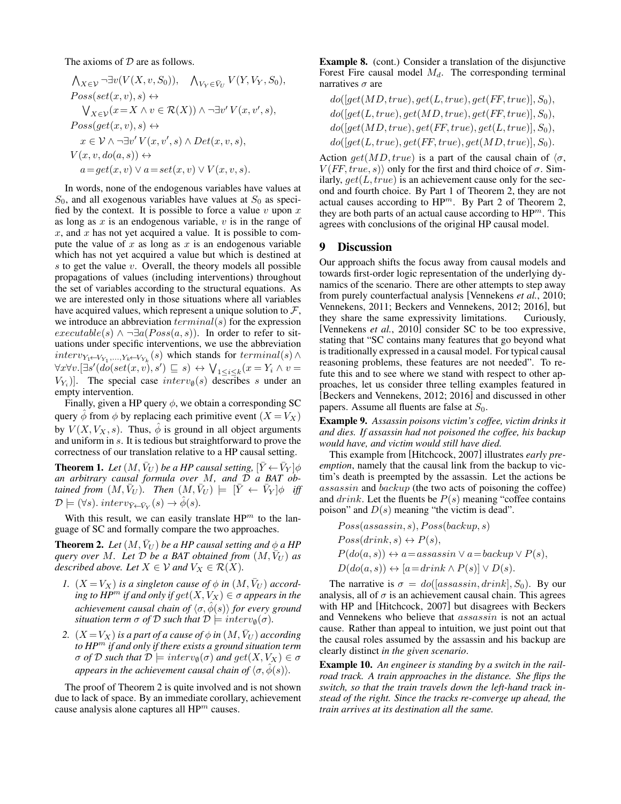The axioms of  $D$  are as follows.

$$
\begin{aligned}\n&\bigwedge_{X\in\mathcal{V}}\neg\exists v(V(X,v,S_0)), \quad \bigwedge_{V_Y\in\bar{V}_U}V(Y,V_Y,S_0), \\
&\text{Poss}(\text{set}(x,v),s) &\leftrightarrow \\
&\bigvee_{X\in\mathcal{V}}(x=X\land v\in\mathcal{R}(X))\land\neg\exists v'V(x,v',s), \\
\text{Poss}(\text{get}(x,v),s) &\leftrightarrow \\
&x\in\mathcal{V}\land\neg\exists v'V(x,v',s)\land\text{Det}(x,v,s), \\
&\quad V(x,v,\text{do}(a,s)) &\leftrightarrow \\
&a=\text{get}(x,v)\lor a=\text{set}(x,v)\lor V(x,v,s).\n\end{aligned}
$$

In words, none of the endogenous variables have values at  $S_0$ , and all exogenous variables have values at  $S_0$  as specified by the context. It is possible to force a value  $v$  upon  $x$ as long as  $x$  is an endogenous variable,  $v$  is in the range of  $x$ , and  $x$  has not yet acquired a value. It is possible to compute the value of  $x$  as long as  $x$  is an endogenous variable which has not yet acquired a value but which is destined at  $s$  to get the value  $v$ . Overall, the theory models all possible propagations of values (including interventions) throughout the set of variables according to the structural equations. As we are interested only in those situations where all variables have acquired values, which represent a unique solution to  $\mathcal{F}$ , we introduce an abbreviation  $terminal(s)$  for the expression  $execute(s) \wedge \neg \exists a (Poss(a, s))$ . In order to refer to situations under specific interventions, we use the abbreviation  $interv_{Y_1 \leftarrow V_{Y_1},...,Y_k \leftarrow V_{Y_k}}(s)$  which stands for  $terminal(s) \land$  $\forall x \forall v. [\exists s' (do(set(x, v), s') \sqsubseteq s) \leftrightarrow \bigvee_{1 \leq i \leq k} (x = Y_i \land v =$  $V_{Y_i}$ ]. The special case  $interv_{\emptyset}(s)$  describes s under an empty intervention.

Finally, given a HP query  $\phi$ , we obtain a corresponding SC query  $\phi$  from  $\phi$  by replacing each primitive event  $(X = V_X)$ by  $V(X, V_X, s)$ . Thus,  $\hat{\phi}$  is ground in all object arguments and uniform in s. It is tedious but straightforward to prove the correctness of our translation relative to a HP causal setting.

**Theorem 1.** Let  $(M, \bar{V}_U)$  be a HP causal setting,  $[\bar{Y} \leftarrow \bar{V}_Y]\phi$ *an arbitrary causal formula over* M*, and* D *a BAT obtained from*  $(M, \bar{V}_U)$ . Then  $(M, \bar{V}_U)$   $\models$   $[\bar{Y} \leftarrow \bar{V}_Y]\phi$  *iff*  $\mathcal{D} \models (\forall s)$ . inter $v_{\bar{Y} \leftarrow \bar{V}_Y}(s) \rightarrow \hat{\phi}(s)$ .

With this result, we can easily translate  $HP<sup>m</sup>$  to the language of SC and formally compare the two approaches.

**Theorem 2.** Let  $(M, \bar{V}_U)$  be a HP causal setting and  $\phi$  a HP *query over* M. Let  $D$  *be a BAT obtained from*  $(M, V_U)$  *as described above. Let*  $X \in V$  *and*  $V_X \in \mathcal{R}(X)$ *.* 

- *1.*  $(X = V_X)$  *is a singleton cause of*  $\phi$  *in*  $(M, \bar{V}_U)$  *according to HP<sup>m</sup> if and only if*  $get(X, V_X) \in \sigma$  *appears in the achievement causal chain of*  $\langle \sigma, \hat{\phi}(s) \rangle$  *for every ground situation term*  $\sigma$  *of*  $\mathcal{D}$  *such that*  $\mathcal{D} \models \text{interv}_{\emptyset}(\sigma)$ *.*
- *2.*  $(X = V_X)$  *is a part of a cause of*  $\phi$  *in*  $(M, \bar{V}_U)$  *according to HP*<sup>m</sup> *if and only if there exists a ground situation term*  $\sigma$  *of*  $D$  *such that*  $D \models$  *interv*<sub> $\emptyset$ </sub> $(\sigma)$  *and*  $get(X, V_X) \in \sigma$ *appears in the achievement causal chain of*  $\langle \sigma, \hat{\phi}(s) \rangle$ *.*

The proof of Theorem 2 is quite involved and is not shown due to lack of space. By an immediate corollary, achievement cause analysis alone captures all  $HP<sup>m</sup>$  causes.

Example 8. (cont.) Consider a translation of the disjunctive Forest Fire causal model  $M_d$ . The corresponding terminal narratives  $\sigma$  are

$$
do([get(MD, true), get(L, true), get(FF, true)], S_0),\\ do([get(L, true), get(MD, true), get(FF, true)], S_0),\\ do([get(MD, true), get(FF, true), get(L, true)], S_0),\\ do([get(L, true), get(FF, true), get(MD, true)], S_0).
$$

Action get(MD, true) is a part of the causal chain of  $\langle \sigma, \rangle$  $V(FF, true, s)$  only for the first and third choice of  $\sigma$ . Similarly,  $get(L, true)$  is an achievement cause only for the second and fourth choice. By Part 1 of Theorem 2, they are not actual causes according to  $HP^m$ . By Part 2 of Theorem 2, they are both parts of an actual cause according to  $HP^m$ . This agrees with conclusions of the original HP causal model.

#### 9 Discussion

Our approach shifts the focus away from causal models and towards first-order logic representation of the underlying dynamics of the scenario. There are other attempts to step away from purely counterfactual analysis [Vennekens *et al.*, 2010; Vennekens, 2011; Beckers and Vennekens, 2012; 2016], but they share the same expressivity limitations. Curiously, [Vennekens *et al.*, 2010] consider SC to be too expressive, stating that "SC contains many features that go beyond what is traditionally expressed in a causal model. For typical causal reasoning problems, these features are not needed". To refute this and to see where we stand with respect to other approaches, let us consider three telling examples featured in [Beckers and Vennekens, 2012; 2016] and discussed in other papers. Assume all fluents are false at  $S_0$ .

Example 9. *Assassin poisons victim's coffee, victim drinks it and dies. If assassin had not poisoned the coffee, his backup would have, and victim would still have died.*

This example from [Hitchcock, 2007] illustrates *early preemption*, namely that the causal link from the backup to victim's death is preempted by the assassin. Let the actions be assassin and backup (the two acts of poisoning the coffee) and  $drink$ . Let the fluents be  $P(s)$  meaning "coffee contains" poison" and  $D(s)$  meaning "the victim is dead".

$$
Poss(assassin, s), Poss(backup, s)
$$
  
\n
$$
Poss(drink, s) \leftrightarrow P(s),
$$
  
\n
$$
P(do(a, s)) \leftrightarrow a = \text{assasssin} \lor a = \text{backup} \lor P(s),
$$
  
\n
$$
D(do(a, s)) \leftrightarrow [a = \text{drink} \land P(s)] \lor D(s).
$$

The narrative is  $\sigma = do([assassin, drink], S_0)$ . By our analysis, all of  $\sigma$  is an achievement causal chain. This agrees with HP and [Hitchcock, 2007] but disagrees with Beckers and Vennekens who believe that assassin is not an actual cause. Rather than appeal to intuition, we just point out that the causal roles assumed by the assassin and his backup are clearly distinct *in the given scenario*.

Example 10. *An engineer is standing by a switch in the railroad track. A train approaches in the distance. She flips the switch, so that the train travels down the left-hand track instead of the right. Since the tracks re-converge up ahead, the train arrives at its destination all the same.*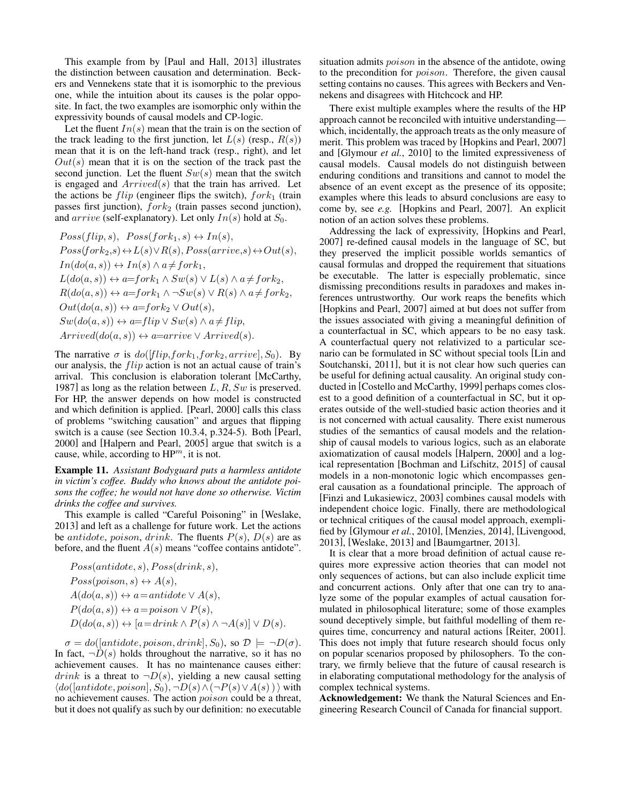This example from by [Paul and Hall, 2013] illustrates the distinction between causation and determination. Beckers and Vennekens state that it is isomorphic to the previous one, while the intuition about its causes is the polar opposite. In fact, the two examples are isomorphic only within the expressivity bounds of causal models and CP-logic.

Let the fluent  $In(s)$  mean that the train is on the section of the track leading to the first junction, let  $L(s)$  (resp.,  $R(s)$ ) mean that it is on the left-hand track (resp., right), and let  $Out(s)$  mean that it is on the section of the track past the second junction. Let the fluent  $Sw(s)$  mean that the switch is engaged and  $Arrived(s)$  that the train has arrived. Let the actions be  $flip$  (engineer flips the switch),  $fork_1$  (train passes first junction),  $fork_2$  (train passes second junction), and  $arrive$  (self-explanatory). Let only  $In(s)$  hold at  $S_0$ .

$$
Poss(flip, s), \ Poss(fork_1, s) \leftrightarrow In(s),
$$
  
\n
$$
Poss(fork_2, s) \leftrightarrow L(s) \lor R(s), Poss(arrive, s) \leftrightarrow Out(s),
$$
  
\n
$$
In(do(a, s)) \leftrightarrow In(s) \land a \neq fork_1,
$$
  
\n
$$
L(do(a, s)) \leftrightarrow a = fork_1 \land Sw(s) \lor L(s) \land a \neq fork_2,
$$
  
\n
$$
R(do(a, s)) \leftrightarrow a = fork_1 \land \neg Sw(s) \lor R(s) \land a \neq fork_2,
$$
  
\n
$$
Out(do(a, s)) \leftrightarrow a = fork_2 \lor Out(s),
$$
  
\n
$$
Sw(do(a, s)) \leftrightarrow a = flip \lor Sw(s) \land a \neq flip,
$$
  
\n
$$
Arrived(do(a, s)) \leftrightarrow a = arrive \lor Arrived(s).
$$

The narrative  $\sigma$  is  $do([flip, fork_1, fork_2, arrive], S_0)$ . By our analysis, the flip action is not an actual cause of train's arrival. This conclusion is elaboration tolerant [McCarthy, 1987] as long as the relation between  $L, R, Sw$  is preserved. For HP, the answer depends on how model is constructed and which definition is applied. [Pearl, 2000] calls this class of problems "switching causation" and argues that flipping switch is a cause (see Section 10.3.4, p.324-5). Both [Pearl, 2000] and [Halpern and Pearl, 2005] argue that switch is a cause, while, according to  $HP^m$ , it is not.

Example 11. *Assistant Bodyguard puts a harmless antidote in victim's coffee. Buddy who knows about the antidote poisons the coffee; he would not have done so otherwise. Victim drinks the coffee and survives.*

This example is called "Careful Poisoning" in [Weslake, 2013] and left as a challenge for future work. Let the actions be antidote, poison, drink. The fluents  $P(s)$ ,  $D(s)$  are as before, and the fluent  $A(s)$  means "coffee contains antidote".

$$
Poss(antidote, s), Poss(drink, s),
$$
  
\n
$$
Poss(poison, s) \leftrightarrow A(s),
$$
  
\n
$$
A(do(a, s)) \leftrightarrow a = antidote \vee A(s),
$$
  
\n
$$
P(do(a, s)) \leftrightarrow a = poison \vee P(s),
$$
  
\n
$$
D(do(a, s)) \leftrightarrow [a = drink \wedge P(s) \wedge \neg A(s)] \vee D(s).
$$

 $\sigma = do([antidote, poison, drink], S_0)$ , so  $\mathcal{D} \models \neg D(\sigma)$ . In fact,  $\neg \overline{D}(s)$  holds throughout the narrative, so it has no achievement causes. It has no maintenance causes either: *drink* is a threat to  $\neg D(s)$ , yielding a new causal setting  $\langle do([antidote,poison], S_0), \neg D(s) \wedge (\neg P(s) \vee A(s)) \rangle$  with no achievement causes. The action poison could be a threat, but it does not qualify as such by our definition: no executable situation admits *poison* in the absence of the antidote, owing to the precondition for poison. Therefore, the given causal setting contains no causes. This agrees with Beckers and Vennekens and disagrees with Hitchcock and HP.

There exist multiple examples where the results of the HP approach cannot be reconciled with intuitive understanding which, incidentally, the approach treats as the only measure of merit. This problem was traced by [Hopkins and Pearl, 2007] and [Glymour *et al.*, 2010] to the limited expressiveness of causal models. Causal models do not distinguish between enduring conditions and transitions and cannot to model the absence of an event except as the presence of its opposite; examples where this leads to absurd conclusions are easy to come by, see *e.g.* [Hopkins and Pearl, 2007]. An explicit notion of an action solves these problems.

Addressing the lack of expressivity, [Hopkins and Pearl, 2007] re-defined causal models in the language of SC, but they preserved the implicit possible worlds semantics of causal formulas and dropped the requirement that situations be executable. The latter is especially problematic, since dismissing preconditions results in paradoxes and makes inferences untrustworthy. Our work reaps the benefits which [Hopkins and Pearl, 2007] aimed at but does not suffer from the issues associated with giving a meaningful definition of a counterfactual in SC, which appears to be no easy task. A counterfactual query not relativized to a particular scenario can be formulated in SC without special tools [Lin and Soutchanski, 2011], but it is not clear how such queries can be useful for defining actual causality. An original study conducted in [Costello and McCarthy, 1999] perhaps comes closest to a good definition of a counterfactual in SC, but it operates outside of the well-studied basic action theories and it is not concerned with actual causality. There exist numerous studies of the semantics of causal models and the relationship of causal models to various logics, such as an elaborate axiomatization of causal models [Halpern, 2000] and a logical representation [Bochman and Lifschitz, 2015] of causal models in a non-monotonic logic which encompasses general causation as a foundational principle. The approach of [Finzi and Lukasiewicz, 2003] combines causal models with independent choice logic. Finally, there are methodological or technical critiques of the causal model approach, exemplified by [Glymour *et al.*, 2010], [Menzies, 2014], [Livengood, 2013], [Weslake, 2013] and [Baumgartner, 2013].

It is clear that a more broad definition of actual cause requires more expressive action theories that can model not only sequences of actions, but can also include explicit time and concurrent actions. Only after that one can try to analyze some of the popular examples of actual causation formulated in philosophical literature; some of those examples sound deceptively simple, but faithful modelling of them requires time, concurrency and natural actions [Reiter, 2001]. This does not imply that future research should focus only on popular scenarios proposed by philosophers. To the contrary, we firmly believe that the future of causal research is in elaborating computational methodology for the analysis of complex technical systems.

Acknowledgement: We thank the Natural Sciences and Engineering Research Council of Canada for financial support.